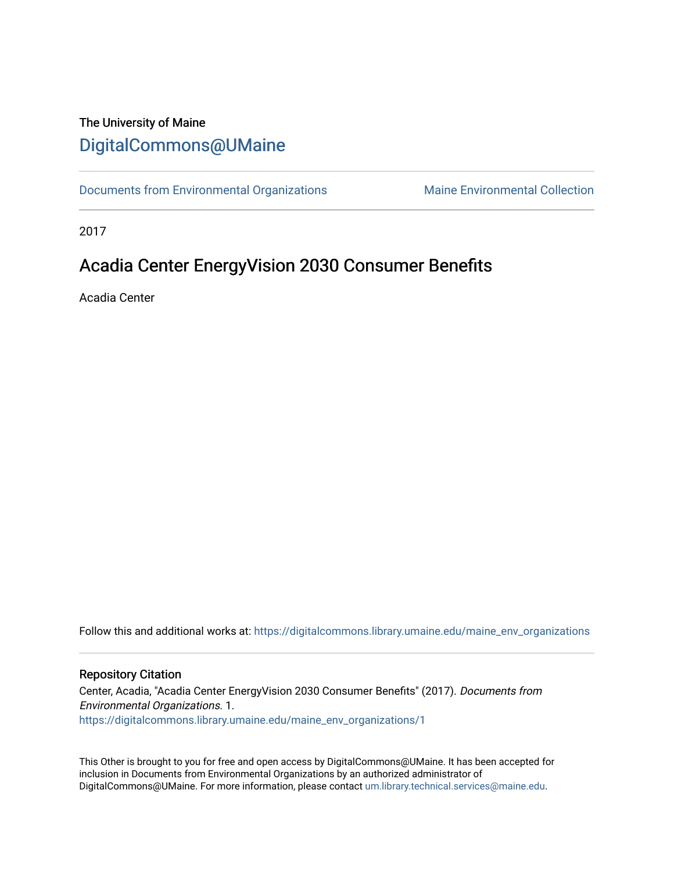### The University of Maine [DigitalCommons@UMaine](https://digitalcommons.library.umaine.edu/)

[Documents from Environmental Organizations](https://digitalcommons.library.umaine.edu/maine_env_organizations) Maine Environmental Collection

2017

## Acadia Center EnergyVision 2030 Consumer Benefits

Acadia Center

Follow this and additional works at: [https://digitalcommons.library.umaine.edu/maine\\_env\\_organizations](https://digitalcommons.library.umaine.edu/maine_env_organizations?utm_source=digitalcommons.library.umaine.edu%2Fmaine_env_organizations%2F1&utm_medium=PDF&utm_campaign=PDFCoverPages)

#### Repository Citation

Center, Acadia, "Acadia Center EnergyVision 2030 Consumer Benefits" (2017). Documents from Environmental Organizations. 1. [https://digitalcommons.library.umaine.edu/maine\\_env\\_organizations/1](https://digitalcommons.library.umaine.edu/maine_env_organizations/1?utm_source=digitalcommons.library.umaine.edu%2Fmaine_env_organizations%2F1&utm_medium=PDF&utm_campaign=PDFCoverPages) 

This Other is brought to you for free and open access by DigitalCommons@UMaine. It has been accepted for inclusion in Documents from Environmental Organizations by an authorized administrator of DigitalCommons@UMaine. For more information, please contact [um.library.technical.services@maine.edu](mailto:um.library.technical.services@maine.edu).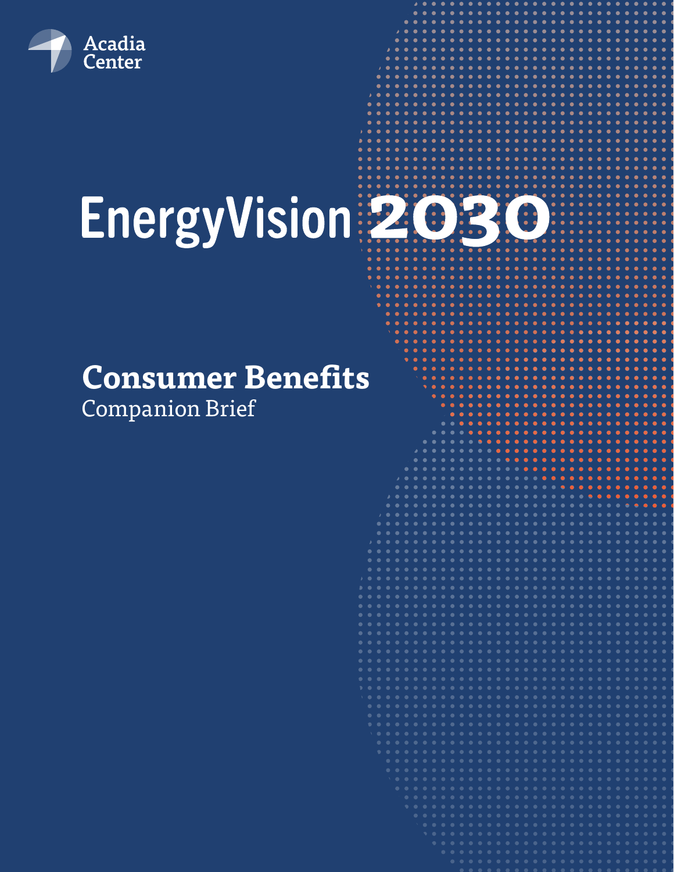

# EnergyVision 2030

# **Consumer Benefits**

Companion Brief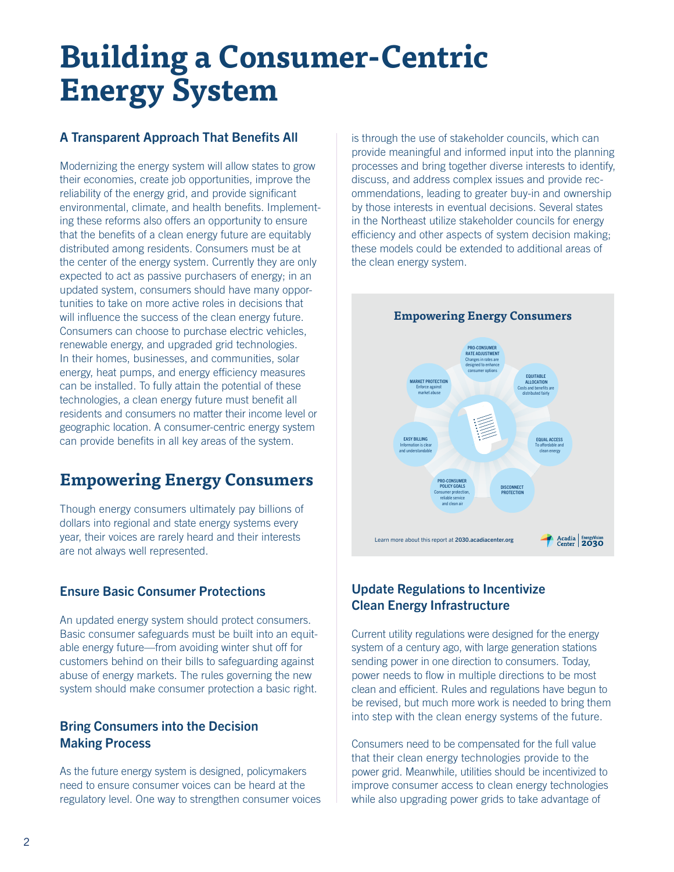# **Building a Consumer-Centric Energy System**

#### A Transparent Approach That Benefits All

Modernizing the energy system will allow states to grow their economies, create job opportunities, improve the reliability of the energy grid, and provide significant environmental, climate, and health benefits. Implementing these reforms also offers an opportunity to ensure that the benefits of a clean energy future are equitably distributed among residents. Consumers must be at the center of the energy system. Currently they are only expected to act as passive purchasers of energy; in an updated system, consumers should have many opportunities to take on more active roles in decisions that will influence the success of the clean energy future. Consumers can choose to purchase electric vehicles, renewable energy, and upgraded grid technologies. In their homes, businesses, and communities, solar energy, heat pumps, and energy efficiency measures can be installed. To fully attain the potential of these technologies, a clean energy future must benefit all residents and consumers no matter their income level or geographic location. A consumer-centric energy system can provide benefits in all key areas of the system.

## **Empowering Energy Consumers**

Though energy consumers ultimately pay billions of dollars into regional and state energy systems every year, their voices are rarely heard and their interests are not always well represented.

#### Ensure Basic Consumer Protections

An updated energy system should protect consumers. Basic consumer safeguards must be built into an equitable energy future—from avoiding winter shut off for customers behind on their bills to safeguarding against abuse of energy markets. The rules governing the new system should make consumer protection a basic right.

#### Bring Consumers into the Decision Making Process

As the future energy system is designed, policymakers need to ensure consumer voices can be heard at the regulatory level. One way to strengthen consumer voices

is through the use of stakeholder councils, which can provide meaningful and informed input into the planning processes and bring together diverse interests to identify, discuss, and address complex issues and provide recommendations, leading to greater buy-in and ownership by those interests in eventual decisions. Several states in the Northeast utilize stakeholder councils for energy efficiency and other aspects of system decision making; these models could be extended to additional areas of the clean energy system.



#### Update Regulations to Incentivize Clean Energy Infrastructure

Current utility regulations were designed for the energy system of a century ago, with large generation stations sending power in one direction to consumers. Today, power needs to flow in multiple directions to be most clean and efficient. Rules and regulations have begun to be revised, but much more work is needed to bring them into step with the clean energy systems of the future.

Consumers need to be compensated for the full value that their clean energy technologies provide to the power grid. Meanwhile, utilities should be incentivized to improve consumer access to clean energy technologies while also upgrading power grids to take advantage of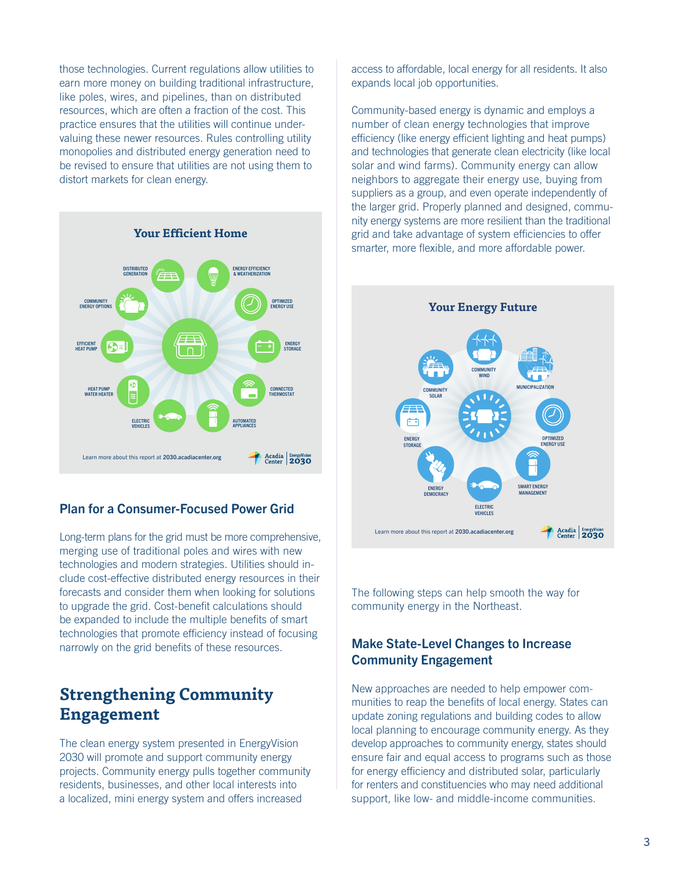those technologies. Current regulations allow utilities to earn more money on building traditional infrastructure, like poles, wires, and pipelines, than on distributed resources, which are often a fraction of the cost. This practice ensures that the utilities will continue undervaluing these newer resources. Rules controlling utility monopolies and distributed energy generation need to be revised to ensure that utilities are not using them to distort markets for clean energy.



#### Plan for a Consumer-Focused Power Grid

Long-term plans for the grid must be more comprehensive, merging use of traditional poles and wires with new technologies and modern strategies. Utilities should include cost-effective distributed energy resources in their forecasts and consider them when looking for solutions to upgrade the grid. Cost-benefit calculations should be expanded to include the multiple benefits of smart technologies that promote efficiency instead of focusing narrowly on the grid benefits of these resources.

#### **Strengthening Community Engagement**

The clean energy system presented in EnergyVision 2030 will promote and support community energy projects. Community energy pulls together community residents, businesses, and other local interests into a localized, mini energy system and offers increased

access to affordable, local energy for all residents. It also expands local job opportunities.

Community-based energy is dynamic and employs a number of clean energy technologies that improve efficiency (like energy efficient lighting and heat pumps) and technologies that generate clean electricity (like local solar and wind farms). Community energy can allow neighbors to aggregate their energy use, buying from suppliers as a group, and even operate independently of the larger grid. Properly planned and designed, community energy systems are more resilient than the traditional grid and take advantage of system efficiencies to offer smarter, more flexible, and more affordable power.



The following steps can help smooth the way for community energy in the Northeast.

#### Make State-Level Changes to Increase Community Engagement

New approaches are needed to help empower communities to reap the benefits of local energy. States can update zoning regulations and building codes to allow local planning to encourage community energy. As they develop approaches to community energy, states should ensure fair and equal access to programs such as those for energy efficiency and distributed solar, particularly for renters and constituencies who may need additional support, like low- and middle-income communities.